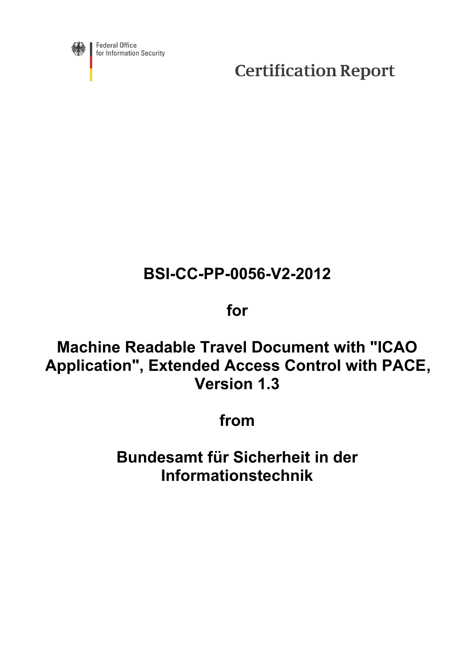

**Certification Report** 

# **BSI-CC-PP-0056-V2-2012**

# **for**

# **Machine Readable Travel Document with "ICAO Application", Extended Access Control with PACE, Version 1.3**

# **from**

# **Bundesamt für Sicherheit in der Informationstechnik**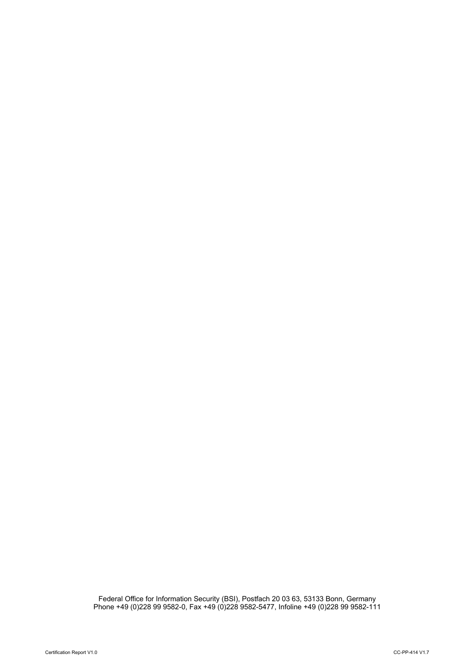Federal Office for Information Security (BSI), Postfach 20 03 63, 53133 Bonn, Germany Phone +49 (0)228 99 9582-0, Fax +49 (0)228 9582-5477, Infoline +49 (0)228 99 9582-111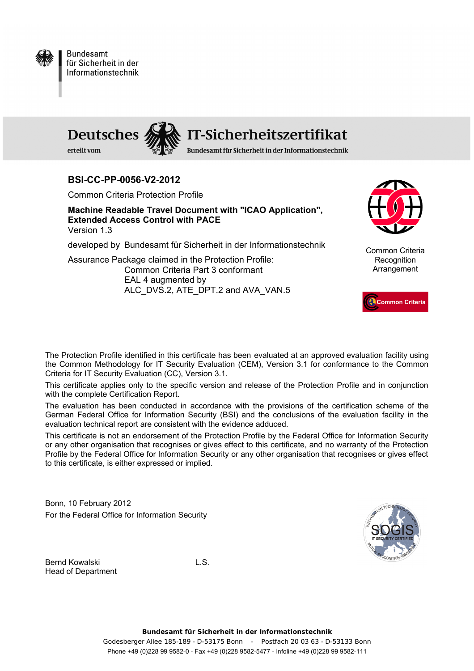

**Bundesamt** für Sicherheit in der Informationstechnik

## **Deutsches**

erteilt vom



# IT-Sicherheitszertifikat

Bundesamt für Sicherheit in der Informationstechnik

#### **BSI-CC-PP-0056-V2-2012**

Common Criteria Protection Profile

**Machine Readable Travel Document with "ICAO Application", Extended Access Control with PACE** Version 1.3

developed by Bundesamt für Sicherheit in der Informationstechnik

Assurance Package claimed in the Protection Profile: Common Criteria Part 3 conformant EAL 4 augmented by ALC\_DVS.2, ATE\_DPT.2 and AVA\_VAN.5



Common Criteria **Recognition** Arrangement



The Protection Profile identified in this certificate has been evaluated at an approved evaluation facility using the Common Methodology for IT Security Evaluation (CEM), Version 3.1 for conformance to the Common Criteria for IT Security Evaluation (CC), Version 3.1.

This certificate applies only to the specific version and release of the Protection Profile and in conjunction with the complete Certification Report.

The evaluation has been conducted in accordance with the provisions of the certification scheme of the German Federal Office for Information Security (BSI) and the conclusions of the evaluation facility in the evaluation technical report are consistent with the evidence adduced.

This certificate is not an endorsement of the Protection Profile by the Federal Office for Information Security or any other organisation that recognises or gives effect to this certificate, and no warranty of the Protection Profile by the Federal Office for Information Security or any other organisation that recognises or gives effect to this certificate, is either expressed or implied.

Bonn, 10 February 2012 For the Federal Office for Information Security



Bernd Kowalski L.S. Head of Department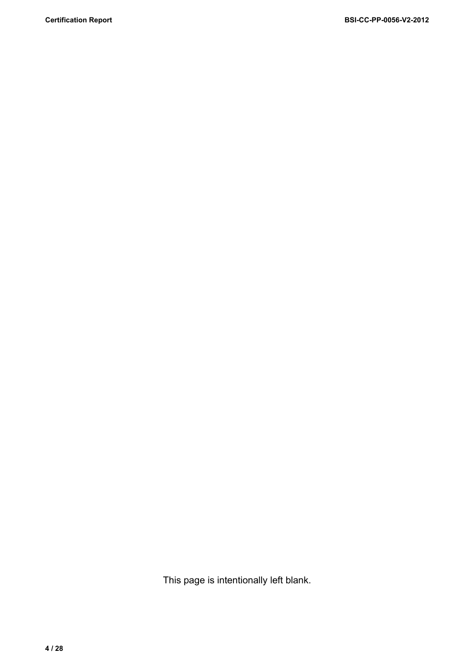This page is intentionally left blank.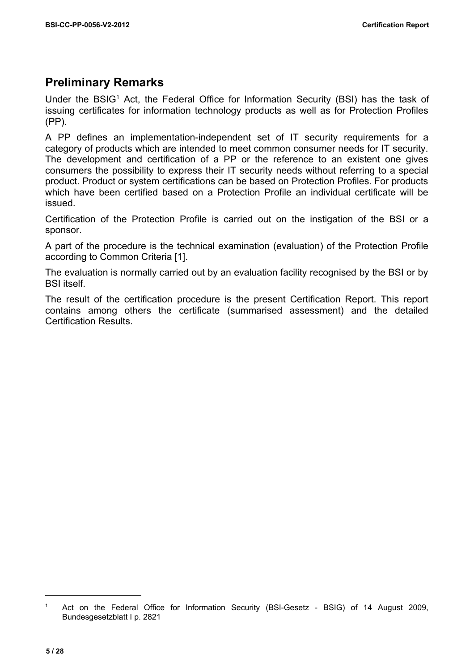## **Preliminary Remarks**

Under the BSIG<sup>[1](#page-4-0)</sup> Act, the Federal Office for Information Security (BSI) has the task of issuing certificates for information technology products as well as for Protection Profiles (PP).

A PP defines an implementation-independent set of IT security requirements for a category of products which are intended to meet common consumer needs for IT security. The development and certification of a PP or the reference to an existent one gives consumers the possibility to express their IT security needs without referring to a special product. Product or system certifications can be based on Protection Profiles. For products which have been certified based on a Protection Profile an individual certificate will be issued.

Certification of the Protection Profile is carried out on the instigation of the BSI or a sponsor.

A part of the procedure is the technical examination (evaluation) of the Protection Profile according to Common Criteria [1].

The evaluation is normally carried out by an evaluation facility recognised by the BSI or by BSI itself.

The result of the certification procedure is the present Certification Report. This report contains among others the certificate (summarised assessment) and the detailed Certification Results.

<span id="page-4-0"></span><sup>&</sup>lt;sup>1</sup> Act on the Federal Office for Information Security (BSI-Gesetz - BSIG) of 14 August 2009, Bundesgesetzblatt I p. 2821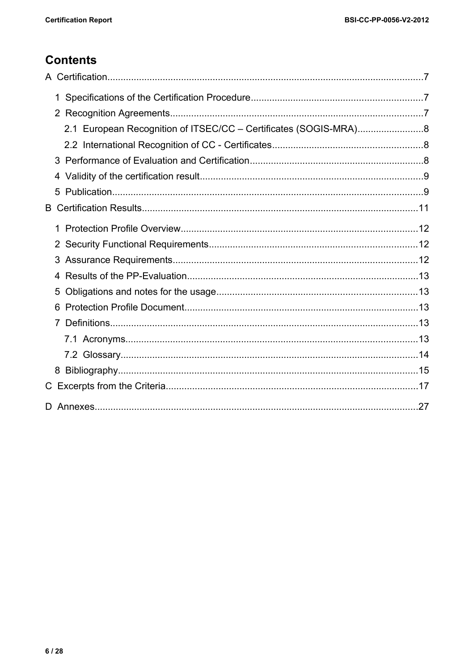## **Contents**

| 1 |                                                                  |  |
|---|------------------------------------------------------------------|--|
|   |                                                                  |  |
|   | 2.1 European Recognition of ITSEC/CC - Certificates (SOGIS-MRA)8 |  |
|   |                                                                  |  |
| 3 |                                                                  |  |
|   |                                                                  |  |
| 5 |                                                                  |  |
|   |                                                                  |  |
|   |                                                                  |  |
|   |                                                                  |  |
| 3 |                                                                  |  |
| 4 |                                                                  |  |
| 5 |                                                                  |  |
| 6 |                                                                  |  |
| 7 |                                                                  |  |
|   |                                                                  |  |
|   |                                                                  |  |
| 8 |                                                                  |  |
|   |                                                                  |  |
|   |                                                                  |  |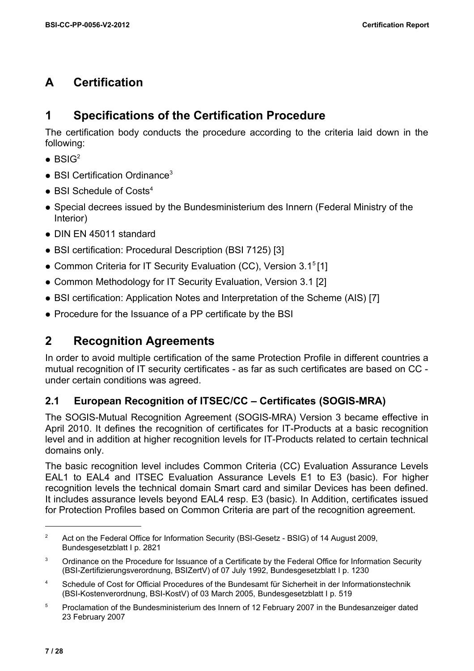## **A Certification**

## **1 Specifications of the Certification Procedure**

The certification body conducts the procedure according to the criteria laid down in the following:

- $\bullet$  BSIG<sup>[2](#page-6-0)</sup>
- $\bullet$  BSI Certification Ordinance<sup>[3](#page-6-1)</sup>
- $\bullet$  BSI Schedule of Costs<sup>[4](#page-6-2)</sup>
- Special decrees issued by the Bundesministerium des Innern (Federal Ministry of the Interior)
- DIN EN 45011 standard
- BSI certification: Procedural Description (BSI 7125) [3]
- Common Criteria for IT Security Evaluation (CC), Version 3.1<sup>[5](#page-6-3)</sup>[1]
- Common Methodology for IT Security Evaluation, Version 3.1 [2]
- BSI certification: Application Notes and Interpretation of the Scheme (AIS) [7]
- Procedure for the Issuance of a PP certificate by the BSI

## **2 Recognition Agreements**

In order to avoid multiple certification of the same Protection Profile in different countries a mutual recognition of IT security certificates - as far as such certificates are based on CC under certain conditions was agreed.

## **2.1 European Recognition of ITSEC/CC – Certificates (SOGIS-MRA)**

The SOGIS-Mutual Recognition Agreement (SOGIS-MRA) Version 3 became effective in April 2010. It defines the recognition of certificates for IT-Products at a basic recognition level and in addition at higher recognition levels for IT-Products related to certain technical domains only.

The basic recognition level includes Common Criteria (CC) Evaluation Assurance Levels EAL1 to EAL4 and ITSEC Evaluation Assurance Levels E1 to E3 (basic). For higher recognition levels the technical domain Smart card and similar Devices has been defined. It includes assurance levels beyond EAL4 resp. E3 (basic). In Addition, certificates issued for Protection Profiles based on Common Criteria are part of the recognition agreement.

<span id="page-6-0"></span><sup>&</sup>lt;sup>2</sup> Act on the Federal Office for Information Security (BSI-Gesetz - BSIG) of 14 August 2009, Bundesgesetzblatt I p. 2821

<span id="page-6-1"></span><sup>&</sup>lt;sup>3</sup> Ordinance on the Procedure for Issuance of a Certificate by the Federal Office for Information Security (BSI-Zertifizierungsverordnung, BSIZertV) of 07 July 1992, Bundesgesetzblatt I p. 1230

<span id="page-6-2"></span><sup>4</sup> Schedule of Cost for Official Procedures of the Bundesamt für Sicherheit in der Informationstechnik (BSI-Kostenverordnung, BSI-KostV) of 03 March 2005, Bundesgesetzblatt I p. 519

<span id="page-6-3"></span><sup>&</sup>lt;sup>5</sup> Proclamation of the Bundesministerium des Innern of 12 February 2007 in the Bundesanzeiger dated 23 February 2007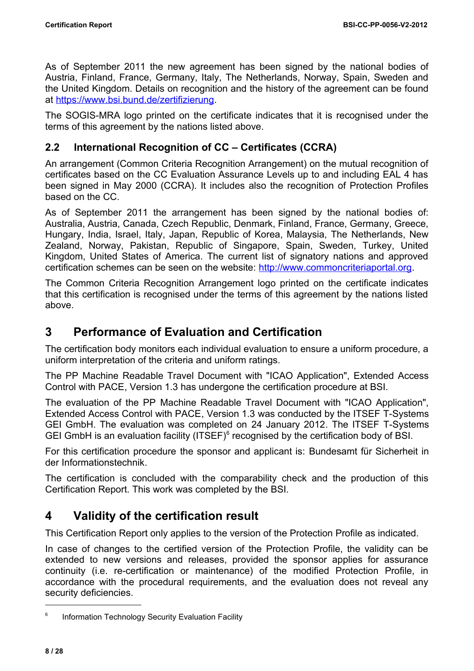As of September 2011 the new agreement has been signed by the national bodies of Austria, Finland, France, Germany, Italy, The Netherlands, Norway, Spain, Sweden and the United Kingdom. Details on recognition and the history of the agreement can be found at [https://www.bsi.bund.de/zertifizierung.](https://www.bsi.bund.de/zertifizierung)

The SOGIS-MRA logo printed on the certificate indicates that it is recognised under the terms of this agreement by the nations listed above.

#### **2.2 International Recognition of CC – Certificates (CCRA)**

An arrangement (Common Criteria Recognition Arrangement) on the mutual recognition of certificates based on the CC Evaluation Assurance Levels up to and including EAL 4 has been signed in May 2000 (CCRA). It includes also the recognition of Protection Profiles based on the CC.

As of September 2011 the arrangement has been signed by the national bodies of: Australia, Austria, Canada, Czech Republic, Denmark, Finland, France, Germany, Greece, Hungary, India, Israel, Italy, Japan, Republic of Korea, Malaysia, The Netherlands, New Zealand, Norway, Pakistan, Republic of Singapore, Spain, Sweden, Turkey, United Kingdom, United States of America. The current list of signatory nations and approved certification schemes can be seen on the website: [http://www.commoncriteriaportal.org.](http://www.commoncriteriaportal.org/)

The Common Criteria Recognition Arrangement logo printed on the certificate indicates that this certification is recognised under the terms of this agreement by the nations listed above.

## **3 Performance of Evaluation and Certification**

The certification body monitors each individual evaluation to ensure a uniform procedure, a uniform interpretation of the criteria and uniform ratings.

The PP Machine Readable Travel Document with "ICAO Application", Extended Access Control with PACE, Version 1.3 has undergone the certification procedure at BSI.

The evaluation of the PP Machine Readable Travel Document with "ICAO Application", Extended Access Control with PACE, Version 1.3 was conducted by the ITSEF T-Systems GEI GmbH. The evaluation was completed on 24 January 2012. The ITSEF T-Systems GEI GmbH is an evaluation facility (ITSEF) $6$  recognised by the certification body of BSI.

For this certification procedure the sponsor and applicant is: Bundesamt für Sicherheit in der Informationstechnik.

The certification is concluded with the comparability check and the production of this Certification Report. This work was completed by the BSI.

## **4 Validity of the certification result**

This Certification Report only applies to the version of the Protection Profile as indicated.

In case of changes to the certified version of the Protection Profile, the validity can be extended to new versions and releases, provided the sponsor applies for assurance continuity (i.e. re-certification or maintenance) of the modified Protection Profile, in accordance with the procedural requirements, and the evaluation does not reveal any security deficiencies.

<span id="page-7-0"></span><sup>6</sup> Information Technology Security Evaluation Facility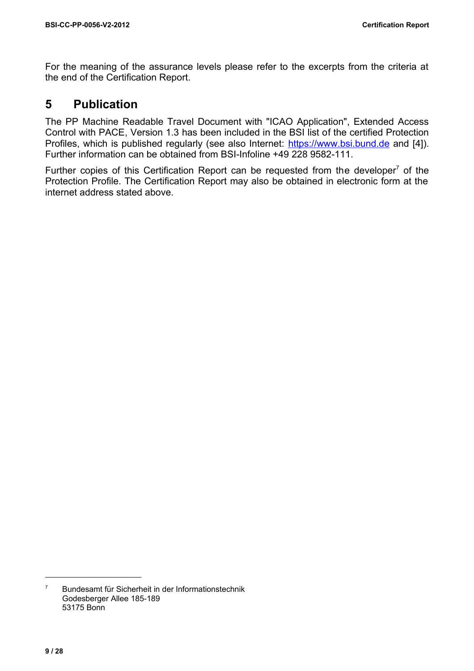For the meaning of the assurance levels please refer to the excerpts from the criteria at the end of the Certification Report.

## **5 Publication**

The PP Machine Readable Travel Document with "ICAO Application", Extended Access Control with PACE, Version 1.3 has been included in the BSI list of the certified Protection Profiles, which is published regularly (see also Internet: https://www.bsi.bund.de and [4]). Further information can be obtained from BSI-Infoline +49 228 9582-111.

Further copies of this Certification Report can be requested from the developer<sup>[7](#page-8-0)</sup> of the Protection Profile. The Certification Report may also be obtained in electronic form at the internet address stated above.

<span id="page-8-0"></span><sup>7</sup> Bundesamt für Sicherheit in der Informationstechnik Godesberger Allee 185-189 53175 Bonn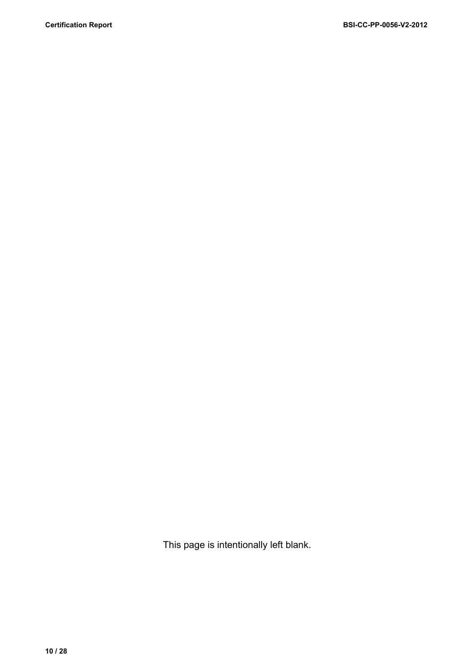This page is intentionally left blank.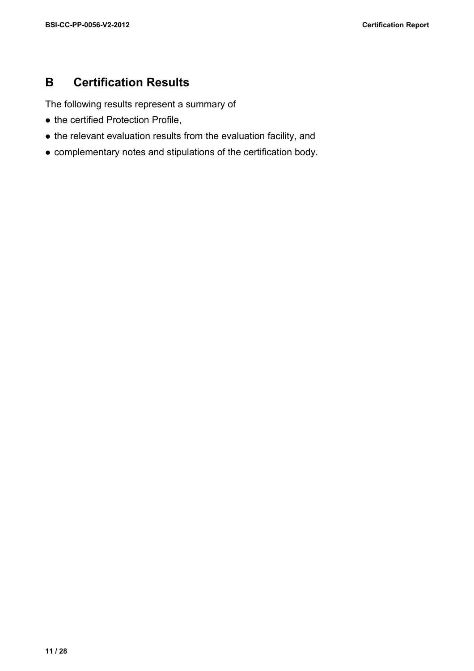## **B Certification Results**

The following results represent a summary of

- the certified Protection Profile,
- the relevant evaluation results from the evaluation facility, and
- complementary notes and stipulations of the certification body.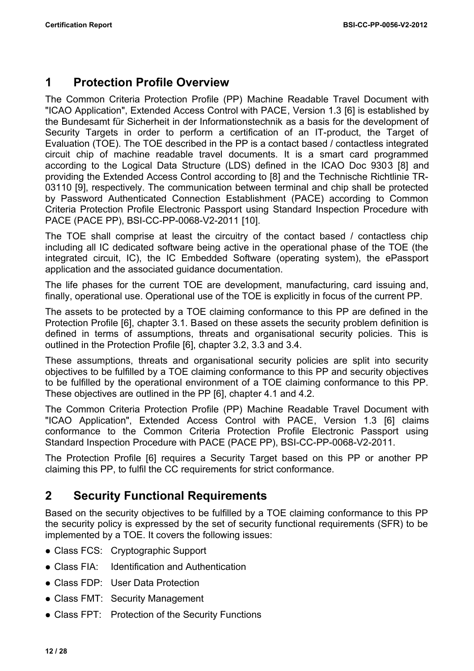## **1 Protection Profile Overview**

The Common Criteria Protection Profile (PP) Machine Readable Travel Document with "ICAO Application", Extended Access Control with PACE, Version 1.3 [6] is established by the Bundesamt für Sicherheit in der Informationstechnik as a basis for the development of Security Targets in order to perform a certification of an IT-product, the Target of Evaluation (TOE). The TOE described in the PP is a contact based / contactless integrated circuit chip of machine readable travel documents. It is a smart card programmed according to the Logical Data Structure (LDS) defined in the ICAO Doc 9303 [8] and providing the Extended Access Control according to [8] and the Technische Richtlinie TR-03110 [9], respectively. The communication between terminal and chip shall be protected by Password Authenticated Connection Establishment (PACE) according to Common Criteria Protection Profile Electronic Passport using Standard Inspection Procedure with PACE (PACE PP), BSI-CC-PP-0068-V2-2011 [10].

The TOE shall comprise at least the circuitry of the contact based / contactless chip including all IC dedicated software being active in the operational phase of the TOE (the integrated circuit, IC), the IC Embedded Software (operating system), the ePassport application and the associated guidance documentation.

The life phases for the current TOE are development, manufacturing, card issuing and, finally, operational use. Operational use of the TOE is explicitly in focus of the current PP.

The assets to be protected by a TOE claiming conformance to this PP are defined in the Protection Profile [6], chapter 3.1. Based on these assets the security problem definition is defined in terms of assumptions, threats and organisational security policies. This is outlined in the Protection Profile [6], chapter 3.2, 3.3 and 3.4.

These assumptions, threats and organisational security policies are split into security objectives to be fulfilled by a TOE claiming conformance to this PP and security objectives to be fulfilled by the operational environment of a TOE claiming conformance to this PP. These objectives are outlined in the PP [6], chapter 4.1 and 4.2.

The Common Criteria Protection Profile (PP) Machine Readable Travel Document with "ICAO Application", Extended Access Control with PACE, Version 1.3 [6] claims conformance to the Common Criteria Protection Profile Electronic Passport using Standard Inspection Procedure with PACE (PACE PP), BSI-CC-PP-0068-V2-2011.

The Protection Profile [6] requires a Security Target based on this PP or another PP claiming this PP, to fulfil the CC requirements for strict conformance.

## **2 Security Functional Requirements**

Based on the security objectives to be fulfilled by a TOE claiming conformance to this PP the security policy is expressed by the set of security functional requirements (SFR) to be implemented by a TOE. It covers the following issues:

- Class FCS: Cryptographic Support
- Class FIA: Identification and Authentication
- Class FDP: User Data Protection
- Class FMT: Security Management
- Class FPT: Protection of the Security Functions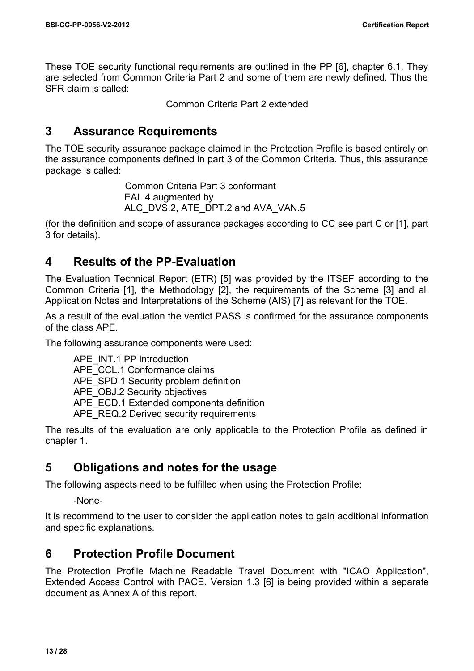These TOE security functional requirements are outlined in the PP [6], chapter 6.1. They are selected from Common Criteria Part 2 and some of them are newly defined. Thus the SFR claim is called:

Common Criteria Part 2 extended

### **3 Assurance Requirements**

The TOE security assurance package claimed in the Protection Profile is based entirely on the assurance components defined in part 3 of the Common Criteria. Thus, this assurance package is called:

> Common Criteria Part 3 conformant EAL 4 augmented by ALC DVS.2, ATE DPT.2 and AVA\_VAN.5

(for the definition and scope of assurance packages according to CC see part C or [1], part 3 for details).

## **4 Results of the PP-Evaluation**

The Evaluation Technical Report (ETR) [5] was provided by the ITSEF according to the Common Criteria [1], the Methodology [2], the requirements of the Scheme [3] and all Application Notes and Interpretations of the Scheme (AIS) [7] as relevant for the TOE.

As a result of the evaluation the verdict PASS is confirmed for the assurance components of the class APE.

The following assurance components were used:

APE\_INT.1 PP introduction

APE CCL.1 Conformance claims

APE\_SPD.1 Security problem definition

APE\_OBJ.2 Security objectives

APE\_ECD.1 Extended components definition

APE\_REQ.2 Derived security requirements

The results of the evaluation are only applicable to the Protection Profile as defined in chapter 1.

### **5 Obligations and notes for the usage**

The following aspects need to be fulfilled when using the Protection Profile:

-None-

It is recommend to the user to consider the application notes to gain additional information and specific explanations.

## **6 Protection Profile Document**

The Protection Profile Machine Readable Travel Document with "ICAO Application", Extended Access Control with PACE, Version 1.3 [6] is being provided within a separate document as Annex A of this report.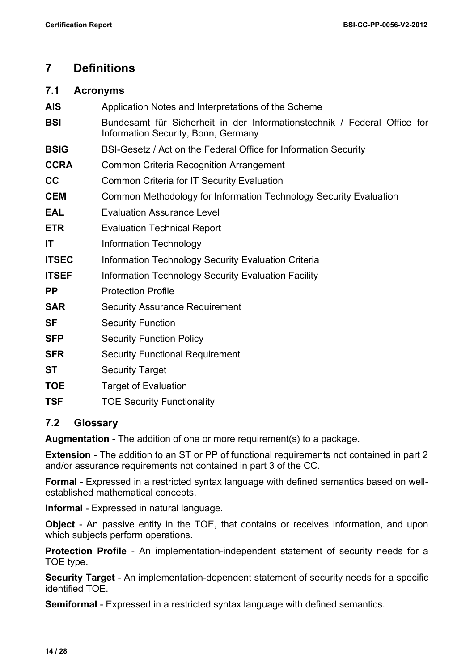## **7 Definitions**

#### **7.1 Acronyms**

- **AIS** Application Notes and Interpretations of the Scheme **BSI** Bundesamt für Sicherheit in der Informationstechnik / Federal Office for Information Security, Bonn, Germany **BSIG** BSI-Gesetz / Act on the Federal Office for Information Security **CCRA** Common Criteria Recognition Arrangement **CC** Common Criteria for IT Security Evaluation **CEM** Common Methodology for Information Technology Security Evaluation **EAL** Evaluation Assurance Level **ETR** Evaluation Technical Report **IT** Information Technology **ITSEC** Information Technology Security Evaluation Criteria **ITSEF** Information Technology Security Evaluation Facility **PP** Protection Profile **SAR** Security Assurance Requirement **SF** Security Function **SFP** Security Function Policy **SFR** Security Functional Requirement **ST** Security Target **TOE** Target of Evaluation
- **TSF** TOE Security Functionality

### **7.2 Glossary**

**Augmentation** - The addition of one or more requirement(s) to a package.

**Extension** - The addition to an ST or PP of functional requirements not contained in part 2 and/or assurance requirements not contained in part 3 of the CC.

**Formal** - Expressed in a restricted syntax language with defined semantics based on wellestablished mathematical concepts.

**Informal** - Expressed in natural language.

**Object** - An passive entity in the TOE, that contains or receives information, and upon which subjects perform operations.

**Protection Profile** - An implementation-independent statement of security needs for a TOE type.

**Security Target** - An implementation-dependent statement of security needs for a specific identified TOE.

**Semiformal** - Expressed in a restricted syntax language with defined semantics.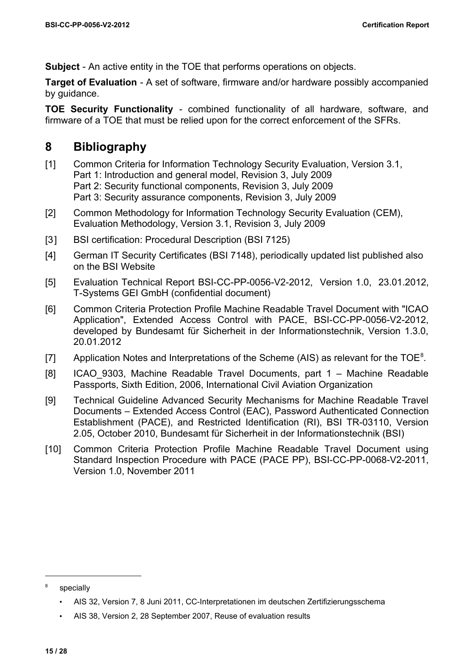**Subject** - An active entity in the TOE that performs operations on objects.

**Target of Evaluation** - A set of software, firmware and/or hardware possibly accompanied by guidance.

**TOE Security Functionality** - combined functionality of all hardware, software, and firmware of a TOE that must be relied upon for the correct enforcement of the SFRs.

## **8 Bibliography**

- [1] Common Criteria for Information Technology Security Evaluation, Version 3.1, Part 1: Introduction and general model, Revision 3, July 2009 Part 2: Security functional components, Revision 3, July 2009 Part 3: Security assurance components, Revision 3, July 2009
- [2] Common Methodology for Information Technology Security Evaluation (CEM), Evaluation Methodology, Version 3.1, Revision 3, July 2009
- [3] BSI certification: Procedural Description (BSI 7125)
- [4] German IT Security Certificates (BSI 7148), periodically updated list published also on the BSI Website
- [5] Evaluation Technical Report BSI-CC-PP-0056-V2-2012, Version 1.0, 23.01.2012, T-Systems GEI GmbH (confidential document)
- [6] Common Criteria Protection Profile Machine Readable Travel Document with "ICAO Application", Extended Access Control with PACE, BSI-CC-PP-0056-V2-2012, developed by Bundesamt für Sicherheit in der Informationstechnik, Version 1.3.0, 20.01.2012
- [7] Application Notes and Interpretations of the Scheme (AIS) as relevant for the TOE $8$ .
- [8] ICAO\_9303, Machine Readable Travel Documents, part 1 Machine Readable Passports, Sixth Edition, 2006, International Civil Aviation Organization
- [9] Technical Guideline Advanced Security Mechanisms for Machine Readable Travel Documents – Extended Access Control (EAC), Password Authenticated Connection Establishment (PACE), and Restricted Identification (RI), BSI TR-03110, Version 2.05, October 2010, Bundesamt für Sicherheit in der Informationstechnik (BSI)
- [10] Common Criteria Protection Profile Machine Readable Travel Document using Standard Inspection Procedure with PACE (PACE PP), BSI-CC-PP-0068-V2-2011, Version 1.0, November 2011

<span id="page-14-0"></span><sup>8</sup> specially

<sup>•</sup> AIS 32, Version 7, 8 Juni 2011, CC-Interpretationen im deutschen Zertifizierungsschema

<sup>•</sup> AIS 38, Version 2, 28 September 2007, Reuse of evaluation results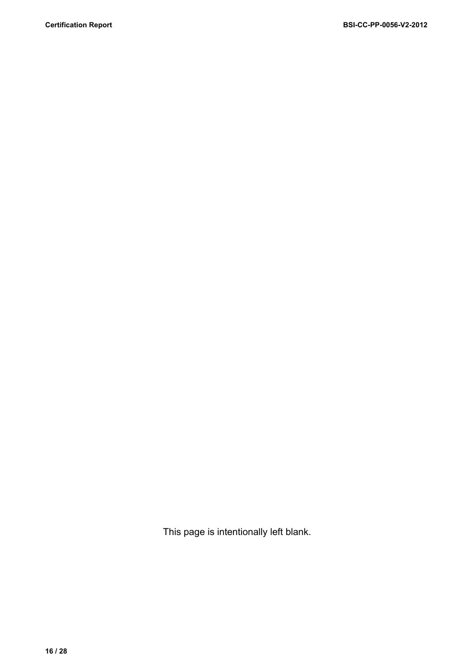This page is intentionally left blank.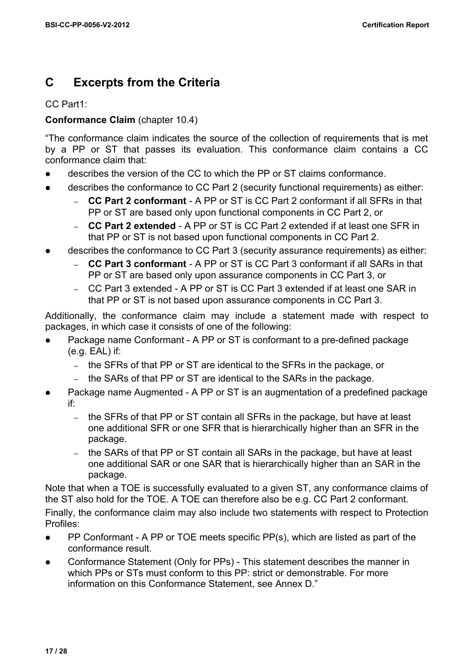## **C Excerpts from the Criteria**

#### CC Part1:

#### **Conformance Claim** (chapter 10.4)

"The conformance claim indicates the source of the collection of requirements that is met by a PP or ST that passes its evaluation. This conformance claim contains a CC conformance claim that:

- describes the version of the CC to which the PP or ST claims conformance.
- describes the conformance to CC Part 2 (security functional requirements) as either:
	- **CC Part 2 conformant**  A PP or ST is CC Part 2 conformant if all SFRs in that PP or ST are based only upon functional components in CC Part 2, or
	- **CC Part 2 extended** A PP or ST is CC Part 2 extended if at least one SFR in that PP or ST is not based upon functional components in CC Part 2.
- describes the conformance to CC Part 3 (security assurance requirements) as either:
	- **CC Part 3 conformant** A PP or ST is CC Part 3 conformant if all SARs in that PP or ST are based only upon assurance components in CC Part 3, or
	- CC Part 3 extended A PP or ST is CC Part 3 extended if at least one SAR in that PP or ST is not based upon assurance components in CC Part 3.

Additionally, the conformance claim may include a statement made with respect to packages, in which case it consists of one of the following:

- Package name Conformant A PP or ST is conformant to a pre-defined package (e.g. EAL) if:
	- the SFRs of that PP or ST are identical to the SFRs in the package, or
	- the SARs of that PP or ST are identical to the SARs in the package.
- Package name Augmented A PP or ST is an augmentation of a predefined package if:
	- the SFRs of that PP or ST contain all SFRs in the package, but have at least one additional SFR or one SFR that is hierarchically higher than an SFR in the package.
	- the SARs of that PP or ST contain all SARs in the package, but have at least one additional SAR or one SAR that is hierarchically higher than an SAR in the package.

Note that when a TOE is successfully evaluated to a given ST, any conformance claims of the ST also hold for the TOE. A TOE can therefore also be e.g. CC Part 2 conformant.

Finally, the conformance claim may also include two statements with respect to Protection Profiles:

- PP Conformant A PP or TOE meets specific PP(s), which are listed as part of the conformance result.
- Conformance Statement (Only for PPs) This statement describes the manner in which PPs or STs must conform to this PP: strict or demonstrable. For more information on this Conformance Statement, see Annex D."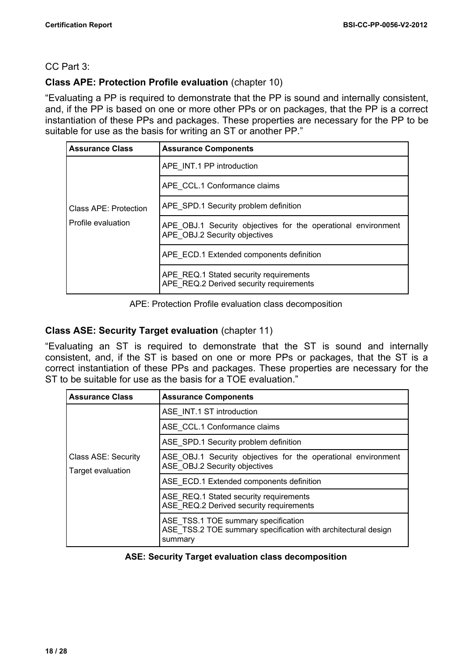#### CC Part 3:

#### **Class APE: Protection Profile evaluation** (chapter 10)

"Evaluating a PP is required to demonstrate that the PP is sound and internally consistent, and, if the PP is based on one or more other PPs or on packages, that the PP is a correct instantiation of these PPs and packages. These properties are necessary for the PP to be suitable for use as the basis for writing an ST or another PP."

| <b>Assurance Class</b> | <b>Assurance Components</b>                                                                    |  |  |  |
|------------------------|------------------------------------------------------------------------------------------------|--|--|--|
|                        | APE INT.1 PP introduction                                                                      |  |  |  |
|                        | APE CCL.1 Conformance claims                                                                   |  |  |  |
| Class APE: Protection  | APE SPD.1 Security problem definition                                                          |  |  |  |
| Profile evaluation     | APE OBJ.1 Security objectives for the operational environment<br>APE OBJ.2 Security objectives |  |  |  |
|                        | APE ECD.1 Extended components definition                                                       |  |  |  |
|                        | APE REQ.1 Stated security requirements<br>APE REQ.2 Derived security requirements              |  |  |  |

APE: Protection Profile evaluation class decomposition

#### **Class ASE: Security Target evaluation** (chapter 11)

"Evaluating an ST is required to demonstrate that the ST is sound and internally consistent, and, if the ST is based on one or more PPs or packages, that the ST is a correct instantiation of these PPs and packages. These properties are necessary for the ST to be suitable for use as the basis for a TOE evaluation."

| <b>Assurance Class</b>                   | <b>Assurance Components</b>                                                                                     |  |  |  |  |
|------------------------------------------|-----------------------------------------------------------------------------------------------------------------|--|--|--|--|
|                                          | ASE INT.1 ST introduction                                                                                       |  |  |  |  |
|                                          | ASE CCL.1 Conformance claims                                                                                    |  |  |  |  |
|                                          | ASE SPD.1 Security problem definition                                                                           |  |  |  |  |
| Class ASE: Security<br>Target evaluation | ASE OBJ.1 Security objectives for the operational environment<br>ASE OBJ.2 Security objectives                  |  |  |  |  |
|                                          | ASE ECD.1 Extended components definition                                                                        |  |  |  |  |
|                                          | ASE REQ.1 Stated security requirements<br>ASE REQ.2 Derived security requirements                               |  |  |  |  |
|                                          | ASE TSS.1 TOE summary specification<br>ASE TSS.2 TOE summary specification with architectural design<br>summary |  |  |  |  |

#### **ASE: Security Target evaluation class decomposition**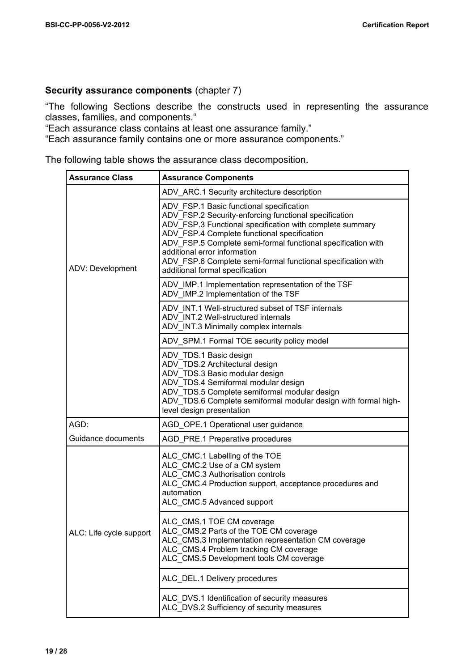#### **Security assurance components** (chapter 7)

"The following Sections describe the constructs used in representing the assurance classes, families, and components."

"Each assurance class contains at least one assurance family."

"Each assurance family contains one or more assurance components."

The following table shows the assurance class decomposition.

| <b>Assurance Class</b>  | <b>Assurance Components</b>                                                                                                                                                                                                                                                                                                                                                                                     |
|-------------------------|-----------------------------------------------------------------------------------------------------------------------------------------------------------------------------------------------------------------------------------------------------------------------------------------------------------------------------------------------------------------------------------------------------------------|
|                         | ADV_ARC.1 Security architecture description                                                                                                                                                                                                                                                                                                                                                                     |
| ADV: Development        | ADV FSP.1 Basic functional specification<br>ADV FSP.2 Security-enforcing functional specification<br>ADV FSP.3 Functional specification with complete summary<br>ADV_FSP.4 Complete functional specification<br>ADV FSP.5 Complete semi-formal functional specification with<br>additional error information<br>ADV_FSP.6 Complete semi-formal functional specification with<br>additional formal specification |
|                         | ADV IMP.1 Implementation representation of the TSF<br>ADV IMP.2 Implementation of the TSF                                                                                                                                                                                                                                                                                                                       |
|                         | ADV INT.1 Well-structured subset of TSF internals<br>ADV INT.2 Well-structured internals<br>ADV INT.3 Minimally complex internals                                                                                                                                                                                                                                                                               |
|                         | ADV_SPM.1 Formal TOE security policy model                                                                                                                                                                                                                                                                                                                                                                      |
|                         | ADV_TDS.1 Basic design<br>ADV TDS.2 Architectural design<br>ADV_TDS.3 Basic modular design<br>ADV TDS.4 Semiformal modular design<br>ADV TDS.5 Complete semiformal modular design<br>ADV_TDS.6 Complete semiformal modular design with formal high-<br>level design presentation                                                                                                                                |
| AGD:                    | AGD_OPE.1 Operational user guidance                                                                                                                                                                                                                                                                                                                                                                             |
| Guidance documents      | AGD_PRE.1 Preparative procedures                                                                                                                                                                                                                                                                                                                                                                                |
|                         | ALC_CMC.1 Labelling of the TOE<br>ALC CMC.2 Use of a CM system<br>ALC CMC.3 Authorisation controls<br>ALC_CMC.4 Production support, acceptance procedures and<br>automation<br>ALC_CMC.5 Advanced support                                                                                                                                                                                                       |
| ALC: Life cycle support | ALC_CMS.1 TOE CM coverage<br>ALC CMS.2 Parts of the TOE CM coverage<br>ALC_CMS.3 Implementation representation CM coverage<br>ALC_CMS.4 Problem tracking CM coverage<br>ALC_CMS.5 Development tools CM coverage                                                                                                                                                                                                 |
|                         | ALC_DEL.1 Delivery procedures                                                                                                                                                                                                                                                                                                                                                                                   |
|                         | ALC DVS.1 Identification of security measures<br>ALC DVS.2 Sufficiency of security measures                                                                                                                                                                                                                                                                                                                     |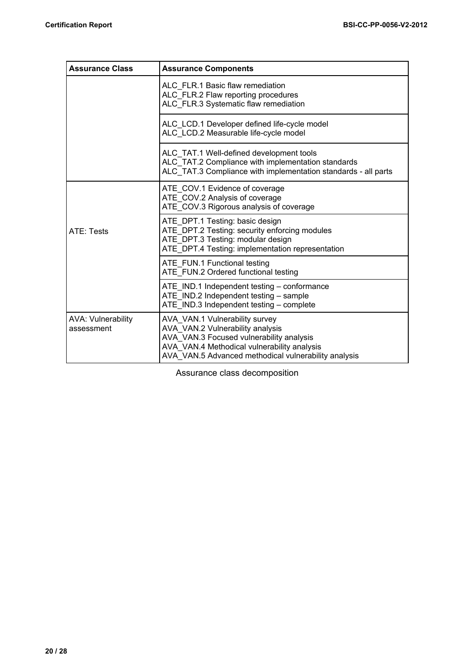| <b>Assurance Class</b>                  | <b>Assurance Components</b>                                                                                                                                                                                           |
|-----------------------------------------|-----------------------------------------------------------------------------------------------------------------------------------------------------------------------------------------------------------------------|
|                                         | ALC FLR.1 Basic flaw remediation<br>ALC FLR.2 Flaw reporting procedures<br>ALC FLR.3 Systematic flaw remediation                                                                                                      |
|                                         | ALC_LCD.1 Developer defined life-cycle model<br>ALC LCD.2 Measurable life-cycle model                                                                                                                                 |
|                                         | ALC TAT.1 Well-defined development tools<br>ALC TAT.2 Compliance with implementation standards<br>ALC_TAT.3 Compliance with implementation standards - all parts                                                      |
|                                         | ATE COV.1 Evidence of coverage<br>ATE COV.2 Analysis of coverage<br>ATE COV.3 Rigorous analysis of coverage                                                                                                           |
| ATE: Tests                              | ATE DPT.1 Testing: basic design<br>ATE DPT.2 Testing: security enforcing modules<br>ATE_DPT.3 Testing: modular design<br>ATE_DPT.4 Testing: implementation representation                                             |
|                                         | ATE FUN.1 Functional testing<br>ATE FUN.2 Ordered functional testing                                                                                                                                                  |
|                                         | ATE IND.1 Independent testing – conformance<br>ATE IND.2 Independent testing - sample<br>ATE IND.3 Independent testing - complete                                                                                     |
| <b>AVA: Vulnerability</b><br>assessment | AVA VAN.1 Vulnerability survey<br>AVA_VAN.2 Vulnerability analysis<br>AVA VAN.3 Focused vulnerability analysis<br>AVA VAN.4 Methodical vulnerability analysis<br>AVA VAN.5 Advanced methodical vulnerability analysis |

Assurance class decomposition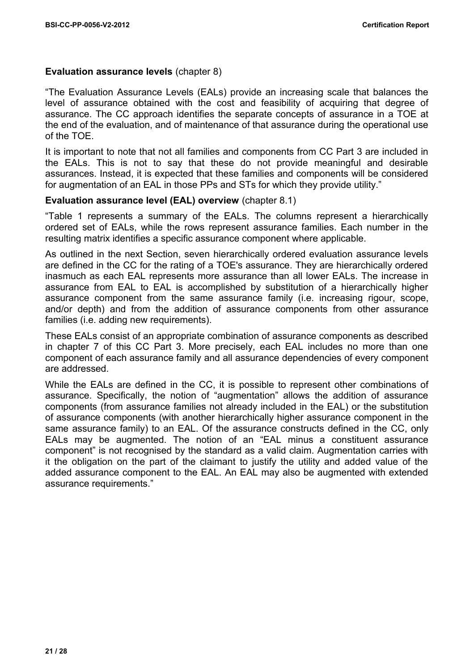#### **Evaluation assurance levels** (chapter 8)

"The Evaluation Assurance Levels (EALs) provide an increasing scale that balances the level of assurance obtained with the cost and feasibility of acquiring that degree of assurance. The CC approach identifies the separate concepts of assurance in a TOE at the end of the evaluation, and of maintenance of that assurance during the operational use of the TOE.

It is important to note that not all families and components from CC Part 3 are included in the EALs. This is not to say that these do not provide meaningful and desirable assurances. Instead, it is expected that these families and components will be considered for augmentation of an EAL in those PPs and STs for which they provide utility."

#### **Evaluation assurance level (EAL) overview** (chapter 8.1)

"Table 1 represents a summary of the EALs. The columns represent a hierarchically ordered set of EALs, while the rows represent assurance families. Each number in the resulting matrix identifies a specific assurance component where applicable.

As outlined in the next Section, seven hierarchically ordered evaluation assurance levels are defined in the CC for the rating of a TOE's assurance. They are hierarchically ordered inasmuch as each EAL represents more assurance than all lower EALs. The increase in assurance from EAL to EAL is accomplished by substitution of a hierarchically higher assurance component from the same assurance family (i.e. increasing rigour, scope, and/or depth) and from the addition of assurance components from other assurance families (i.e. adding new requirements).

These EALs consist of an appropriate combination of assurance components as described in chapter 7 of this CC Part 3. More precisely, each EAL includes no more than one component of each assurance family and all assurance dependencies of every component are addressed.

While the EALs are defined in the CC, it is possible to represent other combinations of assurance. Specifically, the notion of "augmentation" allows the addition of assurance components (from assurance families not already included in the EAL) or the substitution of assurance components (with another hierarchically higher assurance component in the same assurance family) to an EAL. Of the assurance constructs defined in the CC, only EALs may be augmented. The notion of an "EAL minus a constituent assurance component" is not recognised by the standard as a valid claim. Augmentation carries with it the obligation on the part of the claimant to justify the utility and added value of the added assurance component to the EAL. An EAL may also be augmented with extended assurance requirements."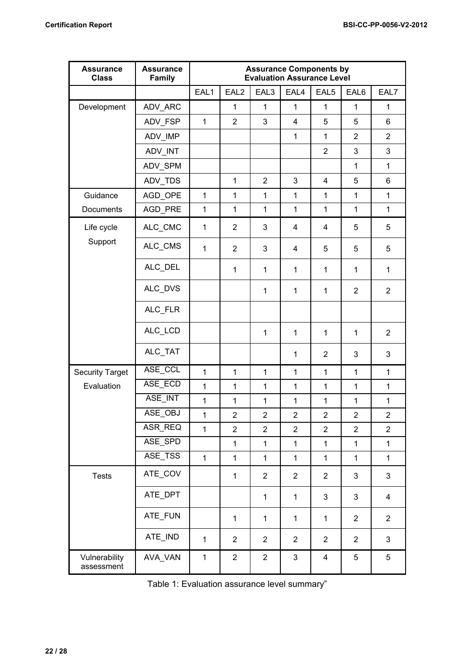| <b>Assurance</b><br><b>Class</b> | <b>Assurance</b><br><b>Family</b> | <b>Assurance Components by</b><br><b>Evaluation Assurance Level</b> |                  |                         |                           |                  |                |                         |
|----------------------------------|-----------------------------------|---------------------------------------------------------------------|------------------|-------------------------|---------------------------|------------------|----------------|-------------------------|
|                                  |                                   | EAL1                                                                | EAL <sub>2</sub> | EAL <sub>3</sub>        | EAL4                      | EAL <sub>5</sub> | EAL6           | EAL7                    |
| Development                      | ADV_ARC                           |                                                                     | 1                | $\mathbf{1}$            | $\mathbf{1}$              | $\mathbf{1}$     | $\mathbf{1}$   | $\mathbf{1}$            |
|                                  | ADV_FSP                           | $\mathbf{1}$                                                        | $\overline{2}$   | 3                       | 4                         | 5                | 5              | 6                       |
|                                  | ADV_IMP                           |                                                                     |                  |                         | $\mathbf 1$               | $\mathbf{1}$     | $\overline{2}$ | $\overline{2}$          |
|                                  | ADV_INT                           |                                                                     |                  |                         |                           | $\overline{2}$   | 3              | 3                       |
|                                  | ADV_SPM                           |                                                                     |                  |                         |                           |                  | 1              | $\mathbf{1}$            |
|                                  | ADV_TDS                           |                                                                     | $\mathbf{1}$     | $\overline{2}$          | 3                         | $\overline{4}$   | 5              | 6                       |
| Guidance                         | AGD_OPE                           | $\mathbf{1}$                                                        | $\mathbf{1}$     | $\mathbf{1}$            | $\mathbf{1}$              | $\mathbf{1}$     | $\mathbf{1}$   | $\mathbf{1}$            |
| Documents                        | AGD_PRE                           | $\mathbf{1}$                                                        | $\mathbf{1}$     | $\mathbf{1}$            | $\mathbf{1}$              | $\mathbf{1}$     | $\mathbf{1}$   | $\mathbf{1}$            |
| Life cycle                       | ALC_CMC                           | 1                                                                   | $\overline{2}$   | 3                       | 4                         | 4                | 5              | 5                       |
| Support                          | ALC_CMS                           | $\mathbf{1}$                                                        | $\overline{2}$   | 3                       | 4                         | 5                | 5              | 5                       |
|                                  | ALC_DEL                           |                                                                     | 1                | $\mathbf{1}$            | $\mathbf 1$               | $\mathbf{1}$     | $\mathbf{1}$   | $\mathbf{1}$            |
|                                  | ALC_DVS                           |                                                                     |                  | $\mathbf{1}$            | $\mathbf{1}$              | $\mathbf{1}$     | $\overline{2}$ | $\overline{2}$          |
|                                  | ALC_FLR                           |                                                                     |                  |                         |                           |                  |                |                         |
|                                  | ALC_LCD                           |                                                                     |                  | $\mathbf{1}$            | $\mathbf{1}$              | $\mathbf{1}$     | $\mathbf{1}$   | $\overline{2}$          |
|                                  | ALC_TAT                           |                                                                     |                  |                         | $\mathbf{1}$              | $\overline{2}$   | 3              | 3                       |
| <b>Security Target</b>           | ASE_CCL                           | $\mathbf{1}$                                                        | $\mathbf{1}$     | $\mathbf{1}$            | $\mathbf{1}$              | $\mathbf{1}$     | $\mathbf{1}$   | $\mathbf{1}$            |
| Evaluation                       | ASE_ECD                           | $\overline{1}$                                                      | $\mathbf{1}$     | $\mathbf{1}$            | $\mathbf{1}$              | $\mathbf{1}$     | $\mathbf{1}$   | $\mathbf{1}$            |
|                                  | ASE_INT                           | $\overline{1}$                                                      | $\mathbf{1}$     | $\mathbf{1}$            | $\mathbf{1}$              | $\mathbf{1}$     | $\mathbf{1}$   | $\mathbf{1}$            |
|                                  | ASE_OBJ                           | $\mathbf 1$                                                         | $\overline{c}$   | $\overline{\mathbf{c}}$ | $\overline{c}$            | $\overline{c}$   | $\overline{2}$ | $\overline{\mathbf{c}}$ |
|                                  | ASR_REQ                           | $\mathbf{1}$                                                        | $\overline{2}$   | $\overline{2}$          | $\overline{2}$            | $\overline{2}$   | $\overline{2}$ | $\overline{2}$          |
|                                  | ASE_SPD                           |                                                                     | $\mathbf{1}$     | $\mathbf{1}$            | $\mathbf 1$               | $\mathbf{1}$     | $\mathbf{1}$   | $\mathbf{1}$            |
|                                  | ASE_TSS                           | $\mathbf{1}$                                                        | $\mathbf{1}$     | $\mathbf{1}$            | $\mathbf 1$               | $\mathbf{1}$     | $\mathbf{1}$   | $\mathbf{1}$            |
| <b>Tests</b>                     | ATE_COV                           |                                                                     | $\mathbf{1}$     | $\overline{2}$          | $\overline{2}$            | $\overline{2}$   | 3              | 3                       |
|                                  | ATE_DPT                           |                                                                     |                  | $\mathbf{1}$            | $\mathbf{1}$              | 3                | 3              | 4                       |
|                                  | ATE_FUN                           |                                                                     | $\mathbf 1$      | $\mathbf{1}$            | $\mathbf 1$               | 1                | $\overline{2}$ | $\overline{2}$          |
|                                  | ATE_IND                           | $\mathbf 1$                                                         | $\overline{2}$   | $\overline{2}$          | $\overline{c}$            | $\overline{2}$   | $\overline{2}$ | 3                       |
| Vulnerability<br>assessment      | AVA_VAN                           | $\mathbf{1}$                                                        | $\overline{2}$   | $\overline{2}$          | $\ensuremath{\mathsf{3}}$ | 4                | 5              | 5                       |

Table 1: Evaluation assurance level summary"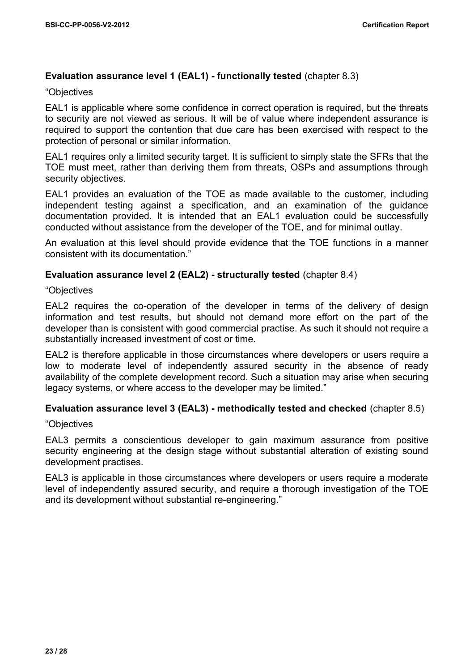#### **Evaluation assurance level 1 (EAL1) - functionally tested** (chapter 8.3)

"Objectives

EAL1 is applicable where some confidence in correct operation is required, but the threats to security are not viewed as serious. It will be of value where independent assurance is required to support the contention that due care has been exercised with respect to the protection of personal or similar information.

EAL1 requires only a limited security target. It is sufficient to simply state the SFRs that the TOE must meet, rather than deriving them from threats, OSPs and assumptions through security objectives.

EAL1 provides an evaluation of the TOE as made available to the customer, including independent testing against a specification, and an examination of the guidance documentation provided. It is intended that an EAL1 evaluation could be successfully conducted without assistance from the developer of the TOE, and for minimal outlay.

An evaluation at this level should provide evidence that the TOE functions in a manner consistent with its documentation."

#### **Evaluation assurance level 2 (EAL2) - structurally tested** (chapter 8.4)

"Objectives

EAL2 requires the co-operation of the developer in terms of the delivery of design information and test results, but should not demand more effort on the part of the developer than is consistent with good commercial practise. As such it should not require a substantially increased investment of cost or time.

EAL2 is therefore applicable in those circumstances where developers or users require a low to moderate level of independently assured security in the absence of ready availability of the complete development record. Such a situation may arise when securing legacy systems, or where access to the developer may be limited."

#### **Evaluation assurance level 3 (EAL3) - methodically tested and checked** (chapter 8.5)

"Objectives

EAL3 permits a conscientious developer to gain maximum assurance from positive security engineering at the design stage without substantial alteration of existing sound development practises.

EAL3 is applicable in those circumstances where developers or users require a moderate level of independently assured security, and require a thorough investigation of the TOE and its development without substantial re-engineering."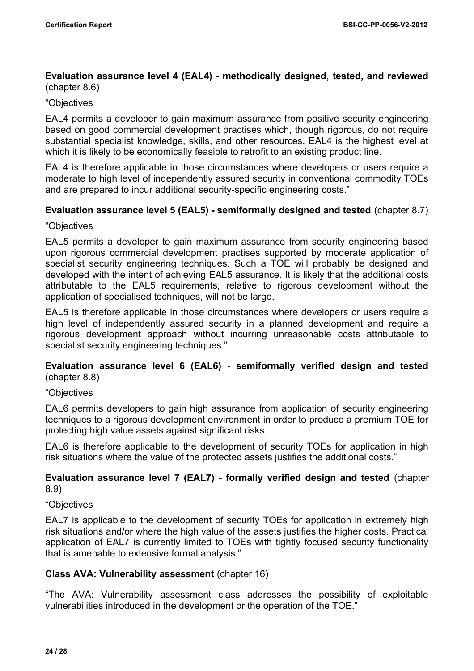#### **Evaluation assurance level 4 (EAL4) - methodically designed, tested, and reviewed** (chapter 8.6)

#### "Objectives

EAL4 permits a developer to gain maximum assurance from positive security engineering based on good commercial development practises which, though rigorous, do not require substantial specialist knowledge, skills, and other resources. EAL4 is the highest level at which it is likely to be economically feasible to retrofit to an existing product line.

EAL4 is therefore applicable in those circumstances where developers or users require a moderate to high level of independently assured security in conventional commodity TOEs and are prepared to incur additional security-specific engineering costs."

#### **Evaluation assurance level 5 (EAL5) - semiformally designed and tested** (chapter 8.7)

#### "Objectives

EAL5 permits a developer to gain maximum assurance from security engineering based upon rigorous commercial development practises supported by moderate application of specialist security engineering techniques. Such a TOE will probably be designed and developed with the intent of achieving EAL5 assurance. It is likely that the additional costs attributable to the EAL5 requirements, relative to rigorous development without the application of specialised techniques, will not be large.

EAL5 is therefore applicable in those circumstances where developers or users require a high level of independently assured security in a planned development and require a rigorous development approach without incurring unreasonable costs attributable to specialist security engineering techniques."

#### **Evaluation assurance level 6 (EAL6) - semiformally verified design and tested** (chapter 8.8)

#### "Objectives

EAL6 permits developers to gain high assurance from application of security engineering techniques to a rigorous development environment in order to produce a premium TOE for protecting high value assets against significant risks.

EAL6 is therefore applicable to the development of security TOEs for application in high risk situations where the value of the protected assets justifies the additional costs."

#### **Evaluation assurance level 7 (EAL7) - formally verified design and tested** (chapter 8.9)

#### "Objectives

EAL7 is applicable to the development of security TOEs for application in extremely high risk situations and/or where the high value of the assets justifies the higher costs. Practical application of EAL7 is currently limited to TOEs with tightly focused security functionality that is amenable to extensive formal analysis."

#### **Class AVA: Vulnerability assessment** (chapter 16)

"The AVA: Vulnerability assessment class addresses the possibility of exploitable vulnerabilities introduced in the development or the operation of the TOE."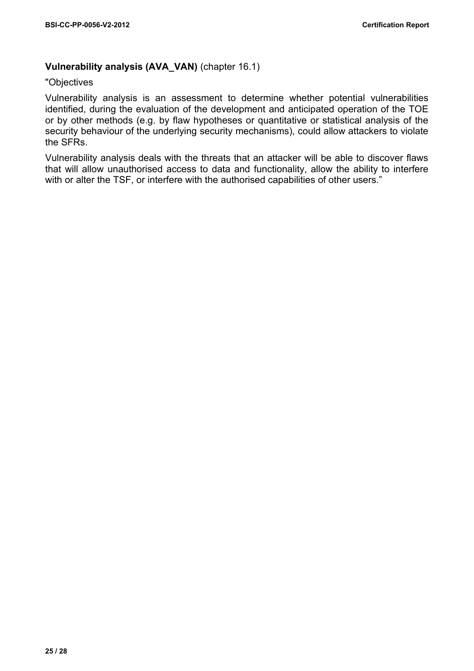#### **Vulnerability analysis (AVA\_VAN)** (chapter 16.1)

#### "Objectives

Vulnerability analysis is an assessment to determine whether potential vulnerabilities identified, during the evaluation of the development and anticipated operation of the TOE or by other methods (e.g. by flaw hypotheses or quantitative or statistical analysis of the security behaviour of the underlying security mechanisms), could allow attackers to violate the SFRs.

Vulnerability analysis deals with the threats that an attacker will be able to discover flaws that will allow unauthorised access to data and functionality, allow the ability to interfere with or alter the TSF, or interfere with the authorised capabilities of other users."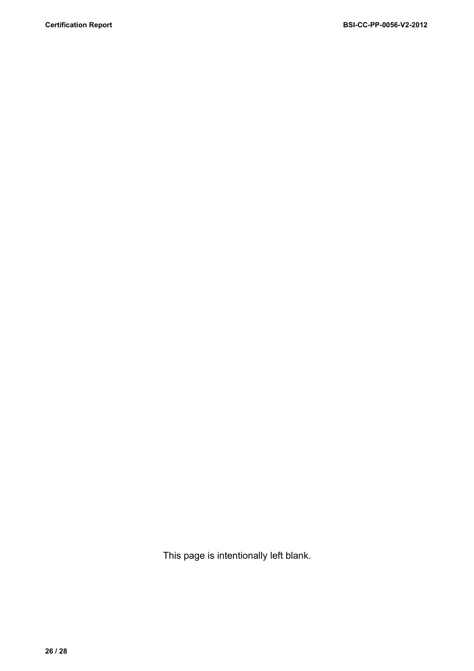This page is intentionally left blank.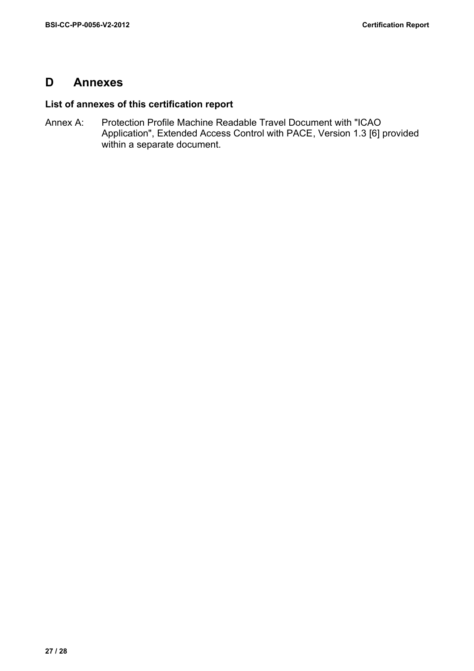### **D Annexes**

#### **List of annexes of this certification report**

Annex A: Protection Profile Machine Readable Travel Document with "ICAO Application", Extended Access Control with PACE, Version 1.3 [6] provided within a separate document.